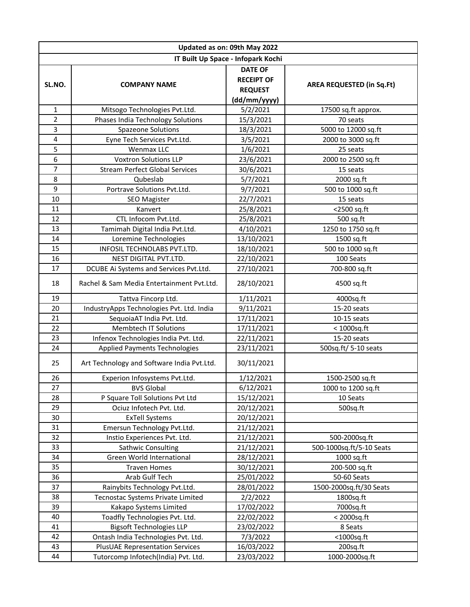| Updated as on: 09th May 2022       |                                            |                                                                       |                                  |  |  |
|------------------------------------|--------------------------------------------|-----------------------------------------------------------------------|----------------------------------|--|--|
| IT Built Up Space - Infopark Kochi |                                            |                                                                       |                                  |  |  |
| SL.NO.                             | <b>COMPANY NAME</b>                        | <b>DATE OF</b><br><b>RECEIPT OF</b><br><b>REQUEST</b><br>(dd/mm/yyyy) | <b>AREA REQUESTED (in Sq.Ft)</b> |  |  |
| $\mathbf{1}$                       | Mitsogo Technologies Pvt.Ltd.              | 5/2/2021                                                              | 17500 sq.ft approx.              |  |  |
| $\overline{2}$                     | Phases India Technology Solutions          | 15/3/2021                                                             | 70 seats                         |  |  |
| 3                                  | <b>Spazeone Solutions</b>                  | 18/3/2021                                                             | 5000 to 12000 sq.ft              |  |  |
| $\overline{\mathbf{4}}$            | Eyne Tech Services Pvt.Ltd.                | 3/5/2021                                                              | 2000 to 3000 sq.ft               |  |  |
| 5                                  | Wenmax LLC                                 | 1/6/2021                                                              | 25 seats                         |  |  |
| 6                                  | <b>Voxtron Solutions LLP</b>               | 23/6/2021                                                             | 2000 to 2500 sq.ft               |  |  |
| 7                                  | <b>Stream Perfect Global Services</b>      | 30/6/2021                                                             | 15 seats                         |  |  |
| 8                                  | Qubeslab                                   | 5/7/2021                                                              | 2000 sq.ft                       |  |  |
| 9                                  | Portrave Solutions Pvt.Ltd.                | 9/7/2021                                                              | 500 to 1000 sq.ft                |  |  |
| 10                                 | <b>SEO Magister</b>                        | 22/7/2021                                                             | 15 seats                         |  |  |
| 11                                 | Kanvert                                    | 25/8/2021                                                             | <2500 sq.ft                      |  |  |
| 12                                 | CTL Infocom Pvt.Ltd.                       | 25/8/2021                                                             | 500 sq.ft                        |  |  |
| 13                                 | Tamimah Digital India Pvt.Ltd.             | 4/10/2021                                                             | 1250 to 1750 sq.ft               |  |  |
| 14                                 | Loremine Technologies                      | 13/10/2021                                                            | 1500 sq.ft                       |  |  |
| 15                                 | INFOSIL TECHNOLABS PVT.LTD.                | 18/10/2021                                                            | 500 to 1000 sq.ft                |  |  |
| 16                                 | NEST DIGITAL PVT.LTD.                      | 22/10/2021                                                            | 100 Seats                        |  |  |
| 17                                 | DCUBE Ai Systems and Services Pvt.Ltd.     | 27/10/2021                                                            | 700-800 sq.ft                    |  |  |
| 18                                 | Rachel & Sam Media Entertainment Pyt.Ltd.  | 28/10/2021                                                            | 4500 sq.ft                       |  |  |
| 19                                 | Tattva Fincorp Ltd.                        | 1/11/2021                                                             | 4000sq.ft                        |  |  |
| 20                                 | IndustryApps Technologies Pvt. Ltd. India  | 9/11/2021                                                             | 15-20 seats                      |  |  |
| 21                                 | SequoiaAT India Pvt. Ltd.                  | 17/11/2021                                                            | 10-15 seats                      |  |  |
| 22                                 | <b>Membtech IT Solutions</b>               | 17/11/2021                                                            | $<$ 1000sq.ft                    |  |  |
| 23                                 | Infenox Technologies India Pvt. Ltd.       | 22/11/2021                                                            | 15-20 seats                      |  |  |
| 24                                 | Applied Payments Technologies              | 23/11/2021                                                            | 500sq.ft/ 5-10 seats             |  |  |
| 25                                 | Art Technology and Software India Pvt.Ltd. | 30/11/2021                                                            |                                  |  |  |
| 26                                 | Experion Infosystems Pvt.Ltd.              | 1/12/2021                                                             | 1500-2500 sq.ft                  |  |  |
| 27                                 | <b>BVS Global</b>                          | 6/12/2021                                                             | 1000 to 1200 sq.ft               |  |  |
| 28                                 | P Square Toll Solutions Pvt Ltd            | 15/12/2021                                                            | 10 Seats                         |  |  |
| 29                                 | Ociuz Infotech Pvt. Ltd.                   | 20/12/2021                                                            | 500sq.ft                         |  |  |
| 30                                 | <b>ExTell Systems</b>                      | 20/12/2021                                                            |                                  |  |  |
| 31                                 | Emersun Technology Pvt.Ltd.                | 21/12/2021                                                            |                                  |  |  |
| 32                                 | Instio Experiences Pvt. Ltd.               | 21/12/2021                                                            | 500-2000sq.ft                    |  |  |
| 33                                 | Sathwic Consulting                         | 21/12/2021                                                            | 500-1000sq.ft/5-10 Seats         |  |  |
| 34                                 | Green World International                  | 28/12/2021                                                            | 1000 sq.ft                       |  |  |
| 35                                 | <b>Traven Homes</b>                        | 30/12/2021                                                            | 200-500 sq.ft                    |  |  |
| 36                                 | Arab Gulf Tech                             | 25/01/2022                                                            | 50-60 Seats                      |  |  |
| 37                                 | Rainybits Technology Pvt.Ltd.              | 28/01/2022                                                            | 1500-2000sq.ft/30 Seats          |  |  |
| 38                                 | Tecnostac Systems Private Limited          | 2/2/2022                                                              | 1800sq.ft                        |  |  |
| 39                                 | Kakapo Systems Limited                     | 17/02/2022                                                            | 7000sq.ft                        |  |  |
| 40                                 | Toadfly Technologies Pvt. Ltd.             | 22/02/2022                                                            | < 2000sq.ft                      |  |  |
| 41                                 | <b>Bigsoft Technologies LLP</b>            | 23/02/2022                                                            | 8 Seats                          |  |  |
| 42                                 | Ontash India Technologies Pvt. Ltd.        | 7/3/2022                                                              | $<$ 1000sq.ft                    |  |  |
| 43                                 | <b>PlusUAE Representation Services</b>     | 16/03/2022                                                            | 200sq.ft                         |  |  |
| 44                                 | Tutorcomp Infotech(India) Pvt. Ltd.        | 23/03/2022                                                            | 1000-2000sq.ft                   |  |  |